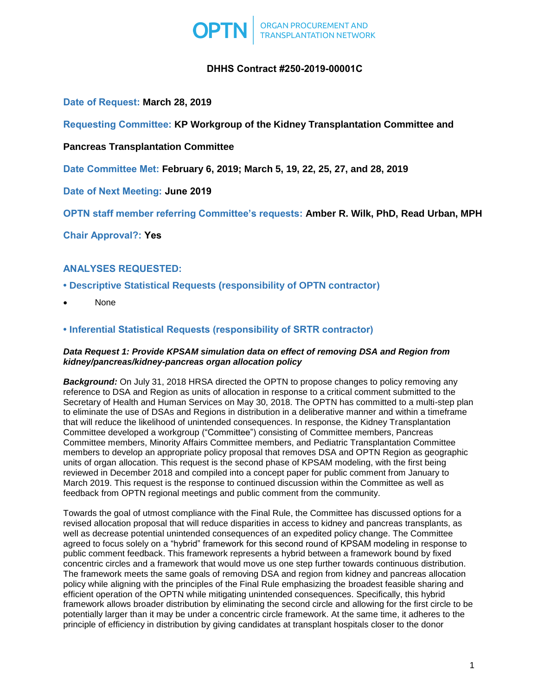

# **DHHS Contract #250-2019-00001C**

# **Date of Request: March 28, 2019**

**Requesting Committee: KP Workgroup of the Kidney Transplantation Committee and** 

## **Pancreas Transplantation Committee**

**Date Committee Met: February 6, 2019; March 5, 19, 22, 25, 27, and 28, 2019**

**Date of Next Meeting: June 2019**

**OPTN staff member referring Committee's requests: Amber R. Wilk, PhD, Read Urban, MPH**

**Chair Approval?: Yes**

# **ANALYSES REQUESTED:**

- **Descriptive Statistical Requests (responsibility of OPTN contractor)**
- None

# **• Inferential Statistical Requests (responsibility of SRTR contractor)**

### *Data Request 1: Provide KPSAM simulation data on effect of removing DSA and Region from kidney/pancreas/kidney-pancreas organ allocation policy*

*Background:* On July 31, 2018 HRSA directed the OPTN to propose changes to policy removing any reference to DSA and Region as units of allocation in response to a critical comment submitted to the Secretary of Health and Human Services on May 30, 2018. The OPTN has committed to a multi-step plan to eliminate the use of DSAs and Regions in distribution in a deliberative manner and within a timeframe that will reduce the likelihood of unintended consequences. In response, the Kidney Transplantation Committee developed a workgroup ("Committee") consisting of Committee members, Pancreas Committee members, Minority Affairs Committee members, and Pediatric Transplantation Committee members to develop an appropriate policy proposal that removes DSA and OPTN Region as geographic units of organ allocation. This request is the second phase of KPSAM modeling, with the first being reviewed in December 2018 and compiled into a concept paper for public comment from January to March 2019. This request is the response to continued discussion within the Committee as well as feedback from OPTN regional meetings and public comment from the community.

Towards the goal of utmost compliance with the Final Rule, the Committee has discussed options for a revised allocation proposal that will reduce disparities in access to kidney and pancreas transplants, as well as decrease potential unintended consequences of an expedited policy change. The Committee agreed to focus solely on a "hybrid" framework for this second round of KPSAM modeling in response to public comment feedback. This framework represents a hybrid between a framework bound by fixed concentric circles and a framework that would move us one step further towards continuous distribution. The framework meets the same goals of removing DSA and region from kidney and pancreas allocation policy while aligning with the principles of the Final Rule emphasizing the broadest feasible sharing and efficient operation of the OPTN while mitigating unintended consequences. Specifically, this hybrid framework allows broader distribution by eliminating the second circle and allowing for the first circle to be potentially larger than it may be under a concentric circle framework. At the same time, it adheres to the principle of efficiency in distribution by giving candidates at transplant hospitals closer to the donor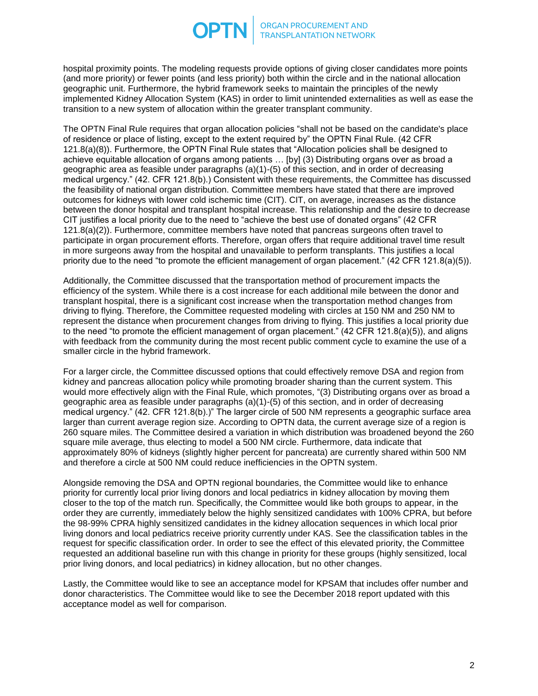hospital proximity points. The modeling requests provide options of giving closer candidates more points (and more priority) or fewer points (and less priority) both within the circle and in the national allocation geographic unit. Furthermore, the hybrid framework seeks to maintain the principles of the newly implemented Kidney Allocation System (KAS) in order to limit unintended externalities as well as ease the transition to a new system of allocation within the greater transplant community.

The OPTN Final Rule requires that organ allocation policies "shall not be based on the candidate's place of residence or place of listing, except to the extent required by" the OPTN Final Rule. (42 CFR 121.8(a)(8)). Furthermore, the OPTN Final Rule states that "Allocation policies shall be designed to achieve equitable allocation of organs among patients … [by] (3) Distributing organs over as broad a geographic area as feasible under paragraphs (a)(1)-(5) of this section, and in order of decreasing medical urgency." (42. CFR 121.8(b).) Consistent with these requirements, the Committee has discussed the feasibility of national organ distribution. Committee members have stated that there are improved outcomes for kidneys with lower cold ischemic time (CIT). CIT, on average, increases as the distance between the donor hospital and transplant hospital increase. This relationship and the desire to decrease CIT justifies a local priority due to the need to "achieve the best use of donated organs" (42 CFR 121.8(a)(2)). Furthermore, committee members have noted that pancreas surgeons often travel to participate in organ procurement efforts. Therefore, organ offers that require additional travel time result in more surgeons away from the hospital and unavailable to perform transplants. This justifies a local priority due to the need "to promote the efficient management of organ placement." (42 CFR 121.8(a)(5)).

Additionally, the Committee discussed that the transportation method of procurement impacts the efficiency of the system. While there is a cost increase for each additional mile between the donor and transplant hospital, there is a significant cost increase when the transportation method changes from driving to flying. Therefore, the Committee requested modeling with circles at 150 NM and 250 NM to represent the distance when procurement changes from driving to flying. This justifies a local priority due to the need "to promote the efficient management of organ placement." (42 CFR 121.8(a)(5)), and aligns with feedback from the community during the most recent public comment cycle to examine the use of a smaller circle in the hybrid framework.

For a larger circle, the Committee discussed options that could effectively remove DSA and region from kidney and pancreas allocation policy while promoting broader sharing than the current system. This would more effectively align with the Final Rule, which promotes, "(3) Distributing organs over as broad a geographic area as feasible under paragraphs (a)(1)-(5) of this section, and in order of decreasing medical urgency." (42. CFR 121.8(b).)" The larger circle of 500 NM represents a geographic surface area larger than current average region size. According to OPTN data, the current average size of a region is 260 square miles. The Committee desired a variation in which distribution was broadened beyond the 260 square mile average, thus electing to model a 500 NM circle. Furthermore, data indicate that approximately 80% of kidneys (slightly higher percent for pancreata) are currently shared within 500 NM and therefore a circle at 500 NM could reduce inefficiencies in the OPTN system.

Alongside removing the DSA and OPTN regional boundaries, the Committee would like to enhance priority for currently local prior living donors and local pediatrics in kidney allocation by moving them closer to the top of the match run. Specifically, the Committee would like both groups to appear, in the order they are currently, immediately below the highly sensitized candidates with 100% CPRA, but before the 98-99% CPRA highly sensitized candidates in the kidney allocation sequences in which local prior living donors and local pediatrics receive priority currently under KAS. See the classification tables in the request for specific classification order. In order to see the effect of this elevated priority, the Committee requested an additional baseline run with this change in priority for these groups (highly sensitized, local prior living donors, and local pediatrics) in kidney allocation, but no other changes.

Lastly, the Committee would like to see an acceptance model for KPSAM that includes offer number and donor characteristics. The Committee would like to see the December 2018 report updated with this acceptance model as well for comparison.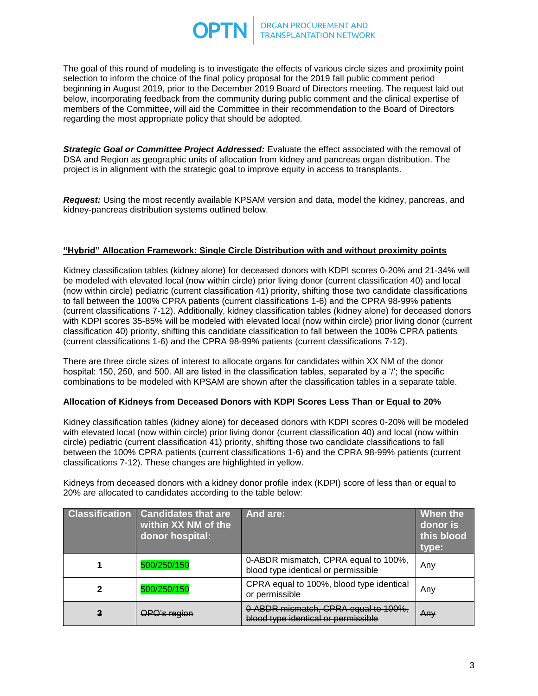The goal of this round of modeling is to investigate the effects of various circle sizes and proximity point selection to inform the choice of the final policy proposal for the 2019 fall public comment period beginning in August 2019, prior to the December 2019 Board of Directors meeting. The request laid out below, incorporating feedback from the community during public comment and the clinical expertise of members of the Committee, will aid the Committee in their recommendation to the Board of Directors regarding the most appropriate policy that should be adopted.

**Strategic Goal or Committee Project Addressed:** Evaluate the effect associated with the removal of DSA and Region as geographic units of allocation from kidney and pancreas organ distribution. The project is in alignment with the strategic goal to improve equity in access to transplants.

*Request:* Using the most recently available KPSAM version and data, model the kidney, pancreas, and kidney-pancreas distribution systems outlined below.

## **"Hybrid" Allocation Framework: Single Circle Distribution with and without proximity points**

Kidney classification tables (kidney alone) for deceased donors with KDPI scores 0-20% and 21-34% will be modeled with elevated local (now within circle) prior living donor (current classification 40) and local (now within circle) pediatric (current classification 41) priority, shifting those two candidate classifications to fall between the 100% CPRA patients (current classifications 1-6) and the CPRA 98-99% patients (current classifications 7-12). Additionally, kidney classification tables (kidney alone) for deceased donors with KDPI scores 35-85% will be modeled with elevated local (now within circle) prior living donor (current classification 40) priority, shifting this candidate classification to fall between the 100% CPRA patients (current classifications 1-6) and the CPRA 98-99% patients (current classifications 7-12).

There are three circle sizes of interest to allocate organs for candidates within XX NM of the donor hospital: 150, 250, and 500. All are listed in the classification tables, separated by a '/'; the specific combinations to be modeled with KPSAM are shown after the classification tables in a separate table.

## **Allocation of Kidneys from Deceased Donors with KDPI Scores Less Than or Equal to 20%**

Kidney classification tables (kidney alone) for deceased donors with KDPI scores 0-20% will be modeled with elevated local (now within circle) prior living donor (current classification 40) and local (now within circle) pediatric (current classification 41) priority, shifting those two candidate classifications to fall between the 100% CPRA patients (current classifications 1-6) and the CPRA 98-99% patients (current classifications 7-12). These changes are highlighted in yellow.

Kidneys from deceased donors with a kidney donor profile index (KDPI) score of less than or equal to 20% are allocated to candidates according to the table below:

| <b>Classification</b> | <b>Candidates that are</b><br>within XX NM of the<br>donor hospital: | And are:                                                                    | When the<br>donor is<br>this blood<br>type: |
|-----------------------|----------------------------------------------------------------------|-----------------------------------------------------------------------------|---------------------------------------------|
|                       | 500/250/150                                                          | 0-ABDR mismatch, CPRA equal to 100%,<br>blood type identical or permissible | Any                                         |
| 2                     | 500/250/150                                                          | CPRA equal to 100%, blood type identical<br>or permissible                  | Any                                         |
| 3                     | OPO's region                                                         | 0-ABDR mismatch, CPRA equal to 100%,<br>blood type identical or permissible | Any                                         |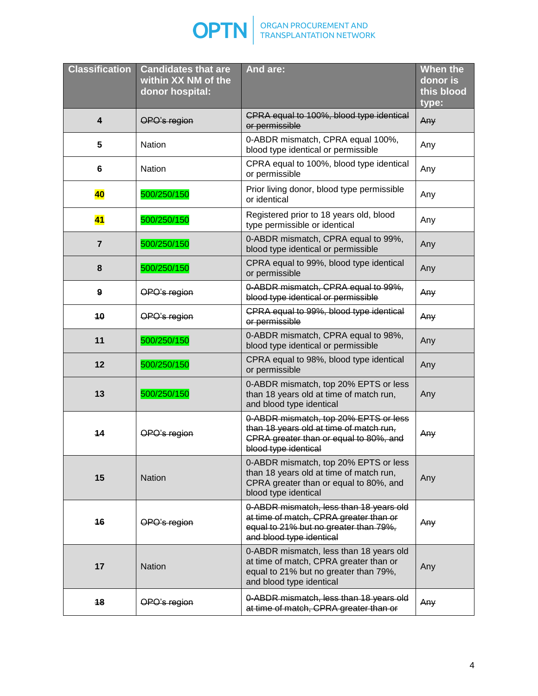

| <b>Classification</b> | <b>Candidates that are</b><br>within XX NM of the<br>donor hospital: | And are:                                                                                                                                               | <b>When the</b><br>donor is<br>this blood<br>type: |
|-----------------------|----------------------------------------------------------------------|--------------------------------------------------------------------------------------------------------------------------------------------------------|----------------------------------------------------|
| $\overline{4}$        | OPO's region                                                         | CPRA equal to 100%, blood type identical<br>or permissible                                                                                             | Any                                                |
| 5                     | Nation                                                               | 0-ABDR mismatch, CPRA equal 100%,<br>blood type identical or permissible                                                                               | Any                                                |
| 6                     | <b>Nation</b>                                                        | CPRA equal to 100%, blood type identical<br>or permissible                                                                                             | Any                                                |
| <b>40</b>             | 500/250/150                                                          | Prior living donor, blood type permissible<br>or identical                                                                                             | Any                                                |
| 41                    | 500/250/150                                                          | Registered prior to 18 years old, blood<br>type permissible or identical                                                                               | Any                                                |
| $\overline{7}$        | 500/250/150                                                          | 0-ABDR mismatch, CPRA equal to 99%,<br>blood type identical or permissible                                                                             | Any                                                |
| 8                     | 500/250/150                                                          | CPRA equal to 99%, blood type identical<br>or permissible                                                                                              | Any                                                |
| 9                     | OPO's region                                                         | 0-ABDR mismatch, CPRA equal to 99%,<br>blood type identical or permissible                                                                             | Any                                                |
| 10                    | OPO's region                                                         | CPRA equal to 99%, blood type identical<br>or permissible                                                                                              | Any                                                |
| 11                    | 500/250/150                                                          | 0-ABDR mismatch, CPRA equal to 98%,<br>blood type identical or permissible                                                                             | Any                                                |
| 12                    | 500/250/150                                                          | CPRA equal to 98%, blood type identical<br>or permissible                                                                                              | Any                                                |
| 13                    | 500/250/150                                                          | 0-ABDR mismatch, top 20% EPTS or less<br>than 18 years old at time of match run,<br>and blood type identical                                           | Any                                                |
| 14                    | OPO's region                                                         | 0-ABDR mismatch, top 20% EPTS or less<br>than 18 years old at time of match run,<br>CPRA greater than or equal to 80%, and<br>blood type identical     | Any                                                |
| 15                    | <b>Nation</b>                                                        | 0-ABDR mismatch, top 20% EPTS or less<br>than 18 years old at time of match run,<br>CPRA greater than or equal to 80%, and<br>blood type identical     | Any                                                |
| 16                    | OPO's region                                                         | 0-ABDR mismatch, less than 18 years old<br>at time of match, CPRA greater than or<br>equal to 21% but no greater than 79%,<br>and blood type identical | Any                                                |
| 17                    | <b>Nation</b>                                                        | 0-ABDR mismatch, less than 18 years old<br>at time of match, CPRA greater than or<br>equal to 21% but no greater than 79%,<br>and blood type identical | Any                                                |
| 18                    | OPO's region                                                         | 0-ABDR mismatch, less than 18 years old<br>at time of match, CPRA greater than or                                                                      | Any                                                |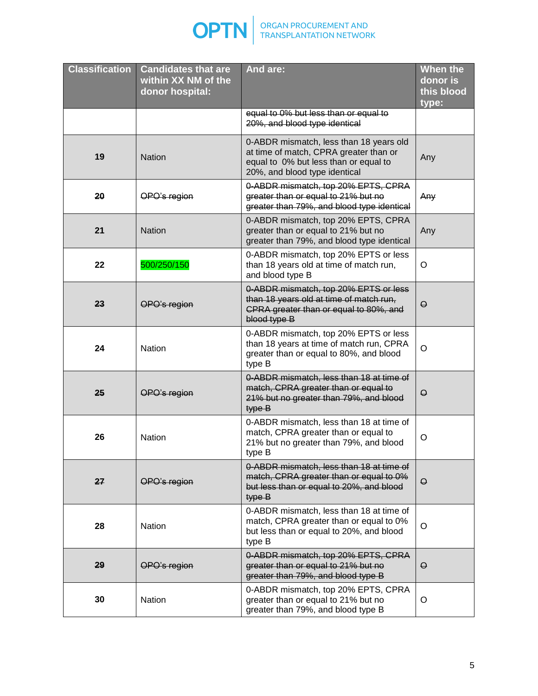

| <b>Classification</b> | <b>Candidates that are</b><br>within XX NM of the<br>donor hospital: | And are:                                                                                                                                                    | When the<br>donor is<br>this blood<br>type: |
|-----------------------|----------------------------------------------------------------------|-------------------------------------------------------------------------------------------------------------------------------------------------------------|---------------------------------------------|
|                       |                                                                      | equal to 0% but less than or equal to<br>20%, and blood type identical                                                                                      |                                             |
| 19                    | <b>Nation</b>                                                        | 0-ABDR mismatch, less than 18 years old<br>at time of match, CPRA greater than or<br>equal to 0% but less than or equal to<br>20%, and blood type identical | Any                                         |
| 20                    | OPO's region                                                         | 0-ABDR mismatch, top 20% EPTS, CPRA<br>greater than or equal to 21% but no<br>greater than 79%, and blood type identical                                    | Any                                         |
| 21                    | <b>Nation</b>                                                        | 0-ABDR mismatch, top 20% EPTS, CPRA<br>greater than or equal to 21% but no<br>greater than 79%, and blood type identical                                    | Any                                         |
| 22                    | 500/250/150                                                          | 0-ABDR mismatch, top 20% EPTS or less<br>than 18 years old at time of match run,<br>and blood type B                                                        | O                                           |
| 23                    | OPO's region                                                         | 0-ABDR mismatch, top 20% EPTS or less<br>than 18 years old at time of match run,<br>CPRA greater than or equal to 80%, and<br>blood type B                  | $\Theta$                                    |
| 24                    | Nation                                                               | 0-ABDR mismatch, top 20% EPTS or less<br>than 18 years at time of match run, CPRA<br>greater than or equal to 80%, and blood<br>type B                      | O                                           |
| 25                    | OPO's region                                                         | 0-ABDR mismatch, less than 18 at time of<br>match, CPRA greater than or equal to<br>21% but no greater than 79%, and blood<br>type B                        | $\Theta$                                    |
| 26                    | Nation                                                               | 0-ABDR mismatch, less than 18 at time of<br>match, CPRA greater than or equal to<br>21% but no greater than 79%, and blood<br>type B                        | O                                           |
| 27                    | OPO's region                                                         | 0-ABDR mismatch, less than 18 at time of<br>match, CPRA greater than or equal to 0%<br>but less than or equal to 20%, and blood<br>type B                   | $\Theta$                                    |
| 28                    | <b>Nation</b>                                                        | 0-ABDR mismatch, less than 18 at time of<br>match, CPRA greater than or equal to 0%<br>but less than or equal to 20%, and blood<br>type B                   | $\circ$                                     |
| 29                    | OPO's region                                                         | 0-ABDR mismatch, top 20% EPTS, CPRA<br>greater than or equal to 21% but no<br>greater than 79%, and blood type B                                            | $\Theta$                                    |
| 30                    | Nation                                                               | 0-ABDR mismatch, top 20% EPTS, CPRA<br>greater than or equal to 21% but no<br>greater than 79%, and blood type B                                            | O                                           |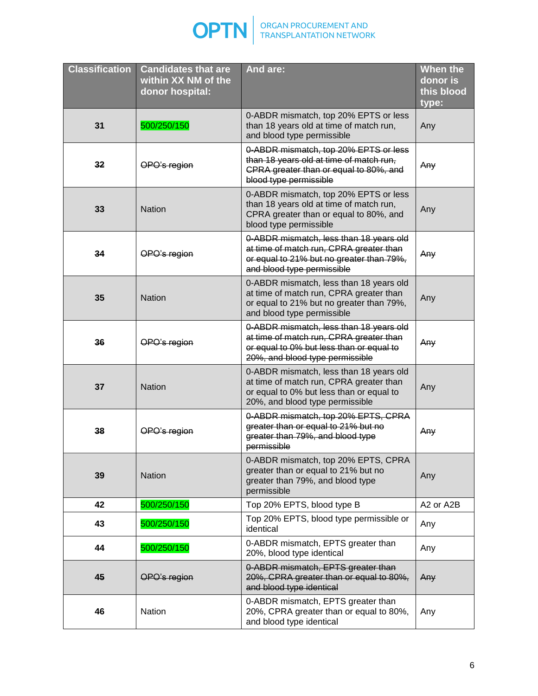

| <b>Classification</b> | <b>Candidates that are</b><br>within XX NM of the<br>donor hospital: | And are:                                                                                                                                                          | <b>When the</b><br>donor is<br>this blood<br>type: |
|-----------------------|----------------------------------------------------------------------|-------------------------------------------------------------------------------------------------------------------------------------------------------------------|----------------------------------------------------|
| 31                    | 500/250/150                                                          | 0-ABDR mismatch, top 20% EPTS or less<br>than 18 years old at time of match run,<br>and blood type permissible                                                    | Any                                                |
| 32                    | OPO's region                                                         | 0-ABDR mismatch, top 20% EPTS or less<br>than 18 years old at time of match run,<br>CPRA greater than or equal to 80%, and<br>blood type permissible              | Any                                                |
| 33                    | <b>Nation</b>                                                        | 0-ABDR mismatch, top 20% EPTS or less<br>than 18 years old at time of match run,<br>CPRA greater than or equal to 80%, and<br>blood type permissible              | Any                                                |
| 34                    | OPO's region                                                         | 0-ABDR mismatch, less than 18 years old<br>at time of match run, CPRA greater than<br>or equal to 21% but no greater than 79%,<br>and blood type permissible      | Any                                                |
| 35                    | <b>Nation</b>                                                        | 0-ABDR mismatch, less than 18 years old<br>at time of match run, CPRA greater than<br>or equal to 21% but no greater than 79%,<br>and blood type permissible      | Any                                                |
| 36                    | OPO's region                                                         | 0-ABDR mismatch, less than 18 years old<br>at time of match run, CPRA greater than<br>or equal to 0% but less than or equal to<br>20%, and blood type permissible | Any                                                |
| 37                    | <b>Nation</b>                                                        | 0-ABDR mismatch, less than 18 years old<br>at time of match run, CPRA greater than<br>or equal to 0% but less than or equal to<br>20%, and blood type permissible | Any                                                |
| 38                    | OPO's region                                                         | 0-ABDR mismatch, top 20% EPTS, CPRA<br>greater than or equal to 21% but no<br>greater than 79%, and blood type<br>permissible                                     | Any                                                |
| 39                    | <b>Nation</b>                                                        | 0-ABDR mismatch, top 20% EPTS, CPRA<br>greater than or equal to 21% but no<br>greater than 79%, and blood type<br>permissible                                     | Any                                                |
| 42                    | 500/250/150                                                          | Top 20% EPTS, blood type B                                                                                                                                        | A2 or A2B                                          |
| 43                    | 500/250/150                                                          | Top 20% EPTS, blood type permissible or<br>identical                                                                                                              | Any                                                |
| 44                    | 500/250/150                                                          | 0-ABDR mismatch, EPTS greater than<br>20%, blood type identical                                                                                                   | Any                                                |
| 45                    | OPO's region                                                         | 0-ABDR mismatch, EPTS greater than<br>20%, CPRA greater than or equal to 80%,<br>and blood type identical                                                         | Any                                                |
| 46                    | Nation                                                               | 0-ABDR mismatch, EPTS greater than<br>20%, CPRA greater than or equal to 80%,<br>and blood type identical                                                         | Any                                                |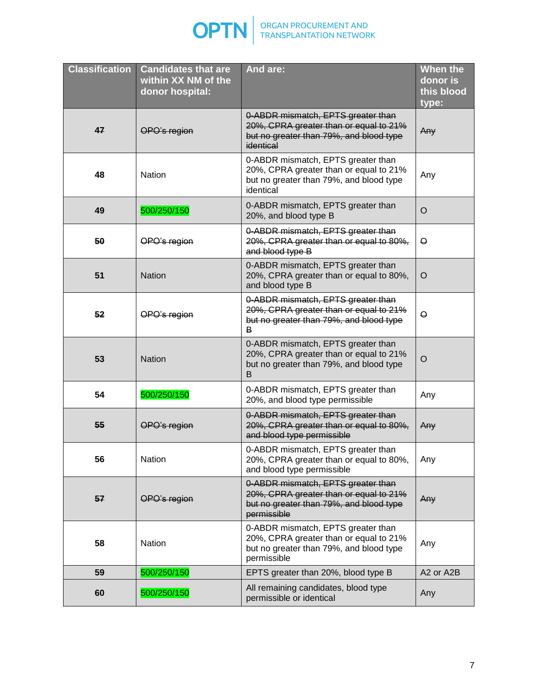

| <b>Classification</b> | <b>Candidates that are</b><br>within XX NM of the<br>donor hospital: | And are:                                                                                                                               | <b>When the</b><br>donor is<br>this blood<br>type: |
|-----------------------|----------------------------------------------------------------------|----------------------------------------------------------------------------------------------------------------------------------------|----------------------------------------------------|
| 47                    | OPO's region                                                         | 0-ABDR mismatch, EPTS greater than<br>20%, CPRA greater than or equal to 21%<br>but no greater than 79%, and blood type<br>identical   | Any                                                |
| 48                    | Nation                                                               | 0-ABDR mismatch, EPTS greater than<br>20%, CPRA greater than or equal to 21%<br>but no greater than 79%, and blood type<br>identical   | Any                                                |
| 49                    | 500/250/150                                                          | 0-ABDR mismatch, EPTS greater than<br>20%, and blood type B                                                                            | $\circ$                                            |
| 50                    | OPO's region                                                         | 0-ABDR mismatch, EPTS greater than<br>20%, CPRA greater than or equal to 80%,<br>and blood type B                                      | $\Theta$                                           |
| 51                    | <b>Nation</b>                                                        | 0-ABDR mismatch, EPTS greater than<br>20%, CPRA greater than or equal to 80%,<br>and blood type B                                      | O                                                  |
| 52                    | OPO's region                                                         | 0-ABDR mismatch, EPTS greater than<br>20%, CPRA greater than or equal to 21%<br>but no greater than 79%, and blood type<br>В           | $\Theta$                                           |
| 53                    | <b>Nation</b>                                                        | 0-ABDR mismatch, EPTS greater than<br>20%, CPRA greater than or equal to 21%<br>but no greater than 79%, and blood type<br>B           | $\circ$                                            |
| 54                    | 500/250/150                                                          | 0-ABDR mismatch, EPTS greater than<br>20%, and blood type permissible                                                                  | Any                                                |
| 55                    | OPO's region                                                         | 0-ABDR mismatch, EPTS greater than<br>20%, CPRA greater than or equal to 80%,<br>and blood type permissible                            | Any                                                |
| 56                    | Nation                                                               | 0-ABDR mismatch, EPTS greater than<br>20%, CPRA greater than or equal to 80%,<br>and blood type permissible                            | Any                                                |
| 57                    | OPO's region                                                         | 0-ABDR mismatch, EPTS greater than<br>20%, CPRA greater than or equal to 21%<br>but no greater than 79%, and blood type<br>permissible | Any                                                |
| 58                    | <b>Nation</b>                                                        | 0-ABDR mismatch, EPTS greater than<br>20%, CPRA greater than or equal to 21%<br>but no greater than 79%, and blood type<br>permissible | Any                                                |
| 59                    | 500/250/150                                                          | EPTS greater than 20%, blood type B                                                                                                    | A2 or A2B                                          |
| 60                    | 500/250/150                                                          | All remaining candidates, blood type<br>permissible or identical                                                                       | Any                                                |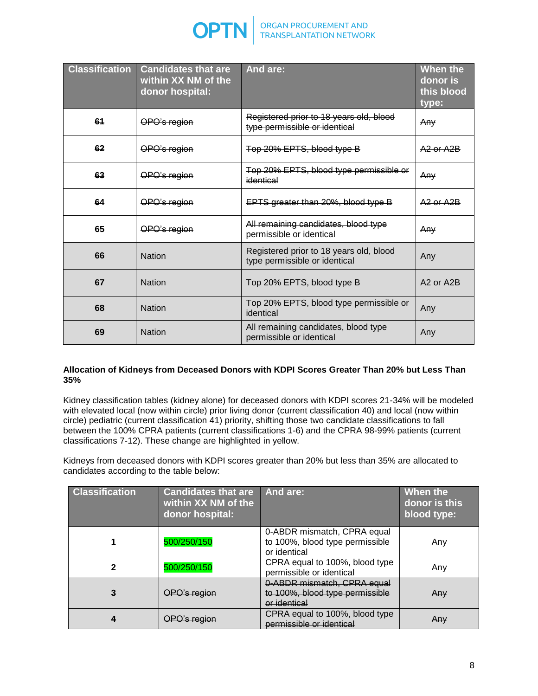

| <b>Classification</b> | <b>Candidates that are</b><br>within XX NM of the<br>donor hospital: | And are:                                                                 | When the<br>donor is<br>this blood<br>type: |
|-----------------------|----------------------------------------------------------------------|--------------------------------------------------------------------------|---------------------------------------------|
| 61                    | OPO's region                                                         | Registered prior to 18 years old, blood<br>type permissible or identical | Any                                         |
| 62                    | OPO's region                                                         | Top 20% EPTS, blood type B                                               | A <sub>2</sub> or A <sub>2</sub> B          |
| 63                    | OPO's region                                                         | Top 20% EPTS, blood type permissible or<br>identical                     | Any                                         |
| 64                    | OPO's region                                                         | EPTS greater than 20%, blood type B                                      | $A2$ or $A2B$                               |
| 65                    | OPO's region                                                         | All remaining candidates, blood type<br>permissible or identical         | Any                                         |
| 66                    | <b>Nation</b>                                                        | Registered prior to 18 years old, blood<br>type permissible or identical | Any                                         |
| 67                    | <b>Nation</b>                                                        | Top 20% EPTS, blood type B                                               | A <sub>2</sub> or A <sub>2</sub> B          |
| 68                    | <b>Nation</b>                                                        | Top 20% EPTS, blood type permissible or<br>identical                     | Any                                         |
| 69                    | <b>Nation</b>                                                        | All remaining candidates, blood type<br>permissible or identical         | Any                                         |

### **Allocation of Kidneys from Deceased Donors with KDPI Scores Greater Than 20% but Less Than 35%**

Kidney classification tables (kidney alone) for deceased donors with KDPI scores 21-34% will be modeled with elevated local (now within circle) prior living donor (current classification 40) and local (now within circle) pediatric (current classification 41) priority, shifting those two candidate classifications to fall between the 100% CPRA patients (current classifications 1-6) and the CPRA 98-99% patients (current classifications 7-12). These change are highlighted in yellow.

Kidneys from deceased donors with KDPI scores greater than 20% but less than 35% are allocated to candidates according to the table below:

| <b>Classification</b> | <b>Candidates that are</b><br>within XX NM of the<br>donor hospital: | And are:                                                                       | When the<br>donor is this<br>blood type: |
|-----------------------|----------------------------------------------------------------------|--------------------------------------------------------------------------------|------------------------------------------|
|                       | 500/250/150                                                          | 0-ABDR mismatch, CPRA equal<br>to 100%, blood type permissible<br>or identical | Any                                      |
| 2                     | 500/250/150                                                          | CPRA equal to 100%, blood type<br>permissible or identical                     | Any                                      |
| 3                     | OPO's region                                                         | 0-ABDR mismatch, CPRA equal<br>to 100%, blood type permissible<br>or identical | Any                                      |
|                       | OPO's region                                                         | CPRA equal to 100%, blood type<br>permissible or identical                     | Any                                      |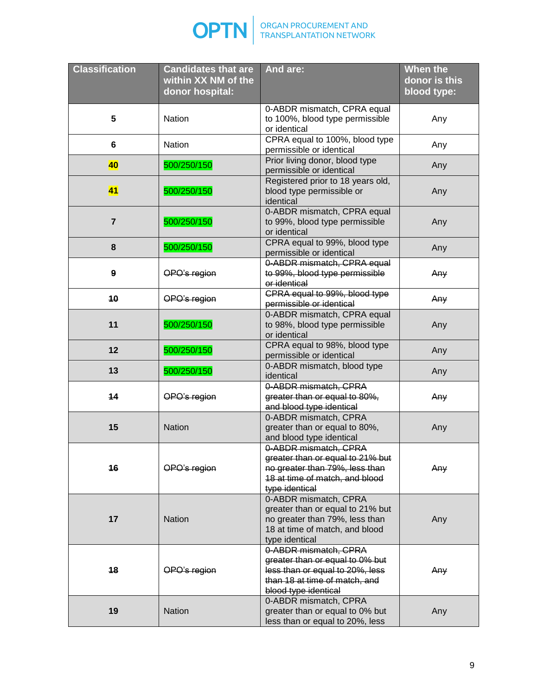

| <b>Classification</b> | <b>Candidates that are</b><br>within XX NM of the<br>donor hospital: | And are:                                                                                                                                             | <b>When the</b><br>donor is this<br>blood type: |
|-----------------------|----------------------------------------------------------------------|------------------------------------------------------------------------------------------------------------------------------------------------------|-------------------------------------------------|
| 5                     | <b>Nation</b>                                                        | 0-ABDR mismatch, CPRA equal<br>to 100%, blood type permissible<br>or identical                                                                       | Any                                             |
| $6\phantom{1}6$       | <b>Nation</b>                                                        | CPRA equal to 100%, blood type<br>permissible or identical                                                                                           | Any                                             |
| 40                    | 500/250/150                                                          | Prior living donor, blood type<br>permissible or identical                                                                                           | Any                                             |
| 41                    | 500/250/150                                                          | Registered prior to 18 years old,<br>blood type permissible or<br>identical                                                                          | Any                                             |
| $\overline{7}$        | 500/250/150                                                          | 0-ABDR mismatch, CPRA equal<br>to 99%, blood type permissible<br>or identical                                                                        | Any                                             |
| 8                     | 500/250/150                                                          | CPRA equal to 99%, blood type<br>permissible or identical                                                                                            | Any                                             |
| $\boldsymbol{9}$      | OPO's region                                                         | 0-ABDR mismatch, CPRA equal<br>to 99%, blood type permissible<br>or identical                                                                        | Any                                             |
| 10                    | OPO's region                                                         | CPRA equal to 99%, blood type<br>permissible or identical                                                                                            | Any                                             |
| 11                    | 500/250/150                                                          | 0-ABDR mismatch, CPRA equal<br>to 98%, blood type permissible<br>or identical                                                                        | Any                                             |
| 12                    | 500/250/150                                                          | CPRA equal to 98%, blood type<br>permissible or identical                                                                                            | Any                                             |
| 13                    | 500/250/150                                                          | 0-ABDR mismatch, blood type<br>identical                                                                                                             | Any                                             |
| 14                    | OPO's region                                                         | 0-ABDR mismatch, CPRA<br>greater than or equal to 80%,<br>and blood type identical                                                                   | Any                                             |
| 15                    | <b>Nation</b>                                                        | 0-ABDR mismatch, CPRA<br>greater than or equal to 80%,<br>and blood type identical                                                                   | Any                                             |
| 16                    | OPO's region                                                         | 0-ABDR mismatch, CPRA<br>greater than or equal to 21% but<br>no greater than 79%, less than<br>18 at time of match, and blood<br>type identical      | Any                                             |
| 17                    | <b>Nation</b>                                                        | 0-ABDR mismatch, CPRA<br>greater than or equal to 21% but<br>no greater than 79%, less than<br>18 at time of match, and blood<br>type identical      | Any                                             |
| 18                    | OPO's region                                                         | 0-ABDR mismatch, CPRA<br>greater than or equal to 0% but<br>less than or equal to 20%, less<br>than 18 at time of match, and<br>blood type identical | Any                                             |
| 19                    | <b>Nation</b>                                                        | 0-ABDR mismatch, CPRA<br>greater than or equal to 0% but<br>less than or equal to 20%, less                                                          | Any                                             |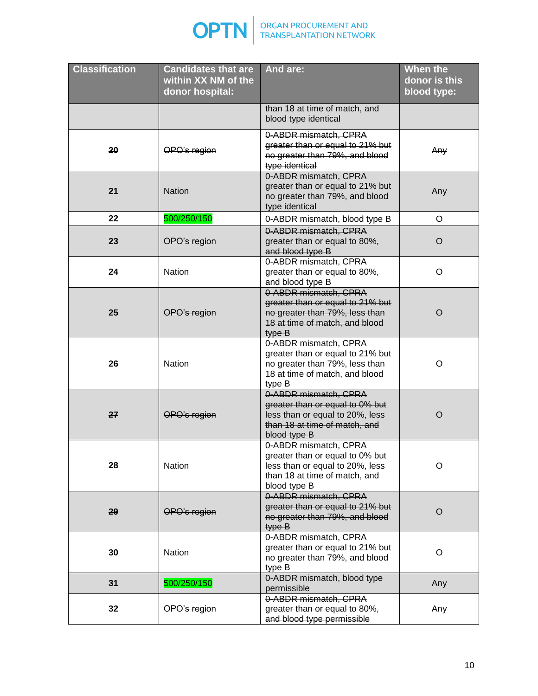

| <b>Classification</b> | <b>Candidates that are</b><br>within XX NM of the<br>donor hospital: | And are:                                                                                                                                     | <b>When the</b><br>donor is this<br>blood type: |
|-----------------------|----------------------------------------------------------------------|----------------------------------------------------------------------------------------------------------------------------------------------|-------------------------------------------------|
|                       |                                                                      | than 18 at time of match, and<br>blood type identical                                                                                        |                                                 |
| 20                    | OPO's region                                                         | 0-ABDR mismatch, CPRA<br>greater than or equal to 21% but<br>no greater than 79%, and blood<br>type identical                                | Any                                             |
| 21                    | <b>Nation</b>                                                        | 0-ABDR mismatch, CPRA<br>greater than or equal to 21% but<br>no greater than 79%, and blood<br>type identical                                | Any                                             |
| 22                    | 500/250/150                                                          | 0-ABDR mismatch, blood type B                                                                                                                | $\circ$                                         |
| 23                    | OPO's region                                                         | 0-ABDR mismatch, CPRA<br>greater than or equal to 80%,<br>and blood type B                                                                   | $\Theta$                                        |
| 24                    | <b>Nation</b>                                                        | 0-ABDR mismatch, CPRA<br>greater than or equal to 80%,<br>and blood type B                                                                   | O                                               |
| 25                    | OPO's region                                                         | 0-ABDR mismatch, CPRA<br>greater than or equal to 21% but<br>no greater than 79%, less than<br>18 at time of match, and blood<br>type B      | $\Theta$                                        |
| 26                    | <b>Nation</b>                                                        | 0-ABDR mismatch, CPRA<br>greater than or equal to 21% but<br>no greater than 79%, less than<br>18 at time of match, and blood<br>type B      | O                                               |
| 27                    | OPO's region                                                         | 0-ABDR mismatch, CPRA<br>greater than or equal to 0% but<br>less than or equal to 20%, less<br>than 18 at time of match, and<br>blood type B | $\Theta$                                        |
| 28                    | Nation                                                               | 0-ABDR mismatch, CPRA<br>greater than or equal to 0% but<br>less than or equal to 20%, less<br>than 18 at time of match, and<br>blood type B | O                                               |
| 29                    | OPO's region                                                         | 0-ABDR mismatch, CPRA<br>greater than or equal to 21% but<br>no greater than 79%, and blood<br>type B                                        | $\Theta$                                        |
| 30                    | <b>Nation</b>                                                        | 0-ABDR mismatch, CPRA<br>greater than or equal to 21% but<br>no greater than 79%, and blood<br>type B                                        | O                                               |
| 31                    | 500/250/150                                                          | 0-ABDR mismatch, blood type<br>permissible                                                                                                   | Any                                             |
| 32                    | OPO's region                                                         | 0-ABDR mismatch, CPRA<br>greater than or equal to 80%,<br>and blood type permissible                                                         | Any                                             |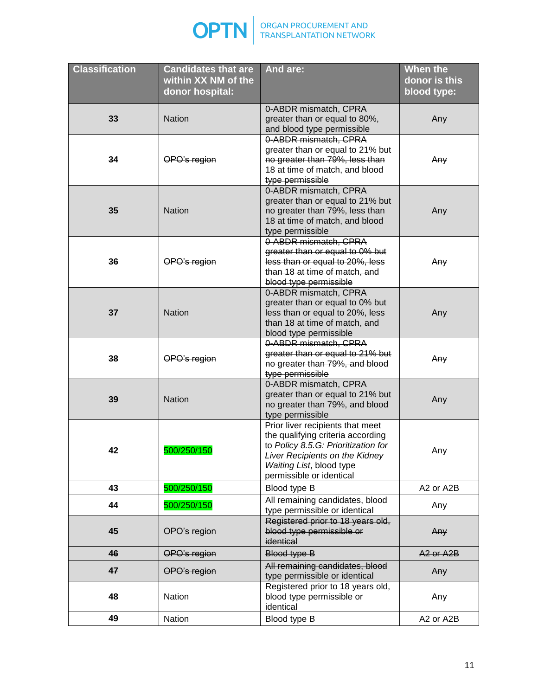

| <b>Classification</b> | <b>Candidates that are</b><br>within XX NM of the<br>donor hospital: | And are:                                                                                                                                                                                               | <b>When the</b><br>donor is this<br>blood type: |
|-----------------------|----------------------------------------------------------------------|--------------------------------------------------------------------------------------------------------------------------------------------------------------------------------------------------------|-------------------------------------------------|
| 33                    | <b>Nation</b>                                                        | 0-ABDR mismatch, CPRA<br>greater than or equal to 80%,<br>and blood type permissible                                                                                                                   | Any                                             |
| 34                    | OPO's region                                                         | 0-ABDR mismatch, CPRA<br>greater than or equal to 21% but<br>no greater than 79%, less than<br>18 at time of match, and blood<br>type permissible                                                      | Any                                             |
| 35                    | <b>Nation</b>                                                        | 0-ABDR mismatch, CPRA<br>greater than or equal to 21% but<br>no greater than 79%, less than<br>18 at time of match, and blood<br>type permissible                                                      | Any                                             |
| 36                    | OPO's region                                                         | 0-ABDR mismatch, CPRA<br>greater than or equal to 0% but<br>less than or equal to 20%, less<br>than 18 at time of match, and<br>blood type permissible                                                 | Any                                             |
| 37                    | <b>Nation</b>                                                        | 0-ABDR mismatch, CPRA<br>greater than or equal to 0% but<br>less than or equal to 20%, less<br>than 18 at time of match, and<br>blood type permissible                                                 | Any                                             |
| 38                    | OPO's region                                                         | 0-ABDR mismatch, CPRA<br>greater than or equal to 21% but<br>no greater than 79%, and blood<br>type permissible                                                                                        | Any                                             |
| 39                    | <b>Nation</b>                                                        | 0-ABDR mismatch, CPRA<br>greater than or equal to 21% but<br>no greater than 79%, and blood<br>type permissible                                                                                        | Any                                             |
| 42                    | 500/250/150                                                          | Prior liver recipients that meet<br>the qualifying criteria according<br>to Policy 8.5.G: Prioritization for<br>Liver Recipients on the Kidney<br>Waiting List, blood type<br>permissible or identical | Any                                             |
| 43                    | 500/250/150                                                          | Blood type B                                                                                                                                                                                           | A2 or A2B                                       |
| 44                    | 500/250/150                                                          | All remaining candidates, blood<br>type permissible or identical                                                                                                                                       | Any                                             |
| 45                    | OPO's region                                                         | Registered prior to 18 years old,<br>blood type permissible or<br>identical                                                                                                                            | Any                                             |
| 46                    | OPO's region                                                         | Blood type B                                                                                                                                                                                           | A <sub>2</sub> or A <sub>2</sub> B              |
| 47                    | OPO's region                                                         | All remaining candidates, blood<br>type permissible or identical                                                                                                                                       | Any                                             |
| 48                    | <b>Nation</b>                                                        | Registered prior to 18 years old,<br>blood type permissible or<br>identical                                                                                                                            | Any                                             |
| 49                    | Nation                                                               | Blood type B                                                                                                                                                                                           | A2 or A2B                                       |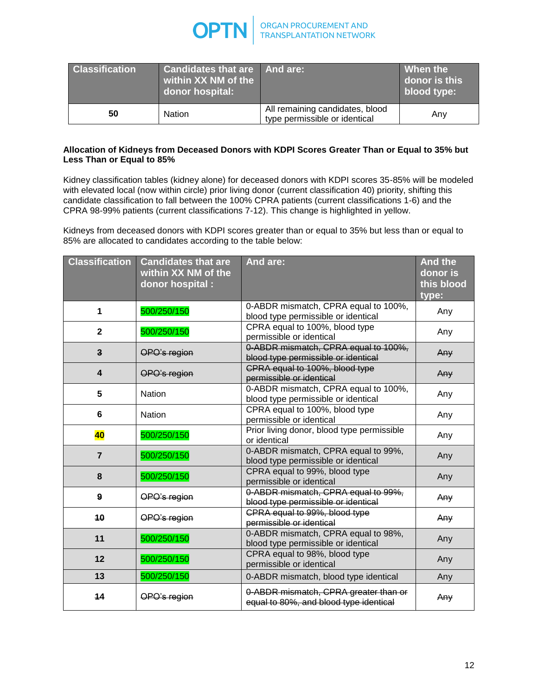

| <b>Classification</b> | <b>Candidates that are And are:</b><br>within XX NM of the<br>donor hospital: |                                                                  | When the<br>donor is this<br>blood type: |
|-----------------------|-------------------------------------------------------------------------------|------------------------------------------------------------------|------------------------------------------|
| 50                    | Nation                                                                        | All remaining candidates, blood<br>type permissible or identical | Any                                      |

### **Allocation of Kidneys from Deceased Donors with KDPI Scores Greater Than or Equal to 35% but Less Than or Equal to 85%**

Kidney classification tables (kidney alone) for deceased donors with KDPI scores 35-85% will be modeled with elevated local (now within circle) prior living donor (current classification 40) priority, shifting this candidate classification to fall between the 100% CPRA patients (current classifications 1-6) and the CPRA 98-99% patients (current classifications 7-12). This change is highlighted in yellow.

Kidneys from deceased donors with KDPI scores greater than or equal to 35% but less than or equal to 85% are allocated to candidates according to the table below:

| <b>Classification</b>   | <b>Candidates that are</b><br>within XX NM of the | And are:                                                                        | <b>And the</b><br>donor is |
|-------------------------|---------------------------------------------------|---------------------------------------------------------------------------------|----------------------------|
|                         | donor hospital :                                  |                                                                                 | this blood                 |
|                         |                                                   |                                                                                 | type:                      |
| 1                       | 500/250/150                                       | 0-ABDR mismatch, CPRA equal to 100%,<br>blood type permissible or identical     | Any                        |
| $\mathbf{2}$            | 500/250/150                                       | CPRA equal to 100%, blood type<br>permissible or identical                      | Any                        |
| $\mathbf{3}$            | OPO's region                                      | 0-ABDR mismatch, CPRA equal to 100%,<br>blood type permissible or identical     | Any                        |
| $\overline{\mathbf{4}}$ | OPO's region                                      | CPRA equal to 100%, blood type<br>permissible or identical                      | Any                        |
| 5                       | <b>Nation</b>                                     | 0-ABDR mismatch, CPRA equal to 100%,<br>blood type permissible or identical     | Any                        |
| 6                       | <b>Nation</b>                                     | CPRA equal to 100%, blood type<br>permissible or identical                      | Any                        |
| 40                      | 500/250/150                                       | Prior living donor, blood type permissible<br>or identical                      | Any                        |
| $\overline{7}$          | 500/250/150                                       | 0-ABDR mismatch, CPRA equal to 99%,<br>blood type permissible or identical      | Any                        |
| 8                       | 500/250/150                                       | CPRA equal to 99%, blood type<br>permissible or identical                       | Any                        |
| 9                       | OPO's region                                      | 0-ABDR mismatch, CPRA equal to 99%,<br>blood type permissible or identical      | Any                        |
| 10                      | OPO's region                                      | CPRA equal to 99%, blood type<br>permissible or identical                       | Any                        |
| 11                      | 500/250/150                                       | 0-ABDR mismatch, CPRA equal to 98%,<br>blood type permissible or identical      | Any                        |
| 12                      | 500/250/150                                       | CPRA equal to 98%, blood type<br>permissible or identical                       | Any                        |
| 13                      | 500/250/150                                       | 0-ABDR mismatch, blood type identical                                           | Any                        |
| 14                      | OPO's region                                      | 0-ABDR mismatch, CPRA greater than or<br>equal to 80%, and blood type identical | Any                        |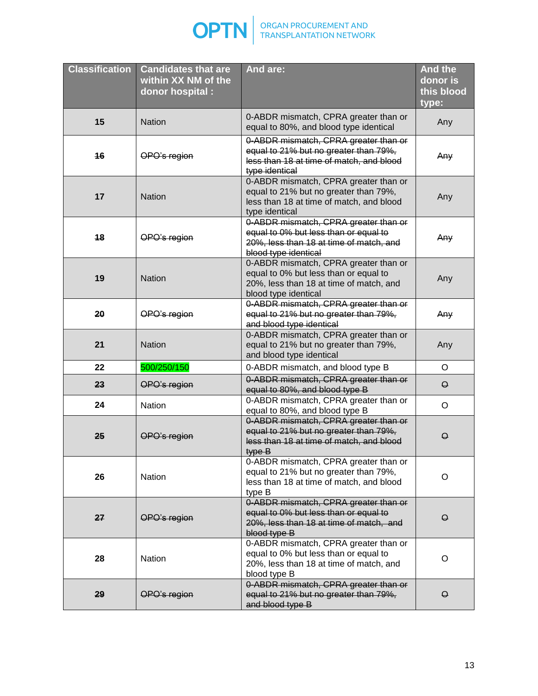

| <b>Classification</b> | <b>Candidates that are</b><br>within XX NM of the<br>donor hospital :                                                      | And are:                                                                                                                                          | <b>And the</b><br>donor is<br>this blood<br>type: |
|-----------------------|----------------------------------------------------------------------------------------------------------------------------|---------------------------------------------------------------------------------------------------------------------------------------------------|---------------------------------------------------|
| 15                    | <b>Nation</b>                                                                                                              | 0-ABDR mismatch, CPRA greater than or<br>equal to 80%, and blood type identical                                                                   | Any                                               |
| 16                    | OPO's region                                                                                                               | 0-ABDR mismatch, CPRA greater than or<br>equal to 21% but no greater than 79%,<br>less than 18 at time of match, and blood<br>type identical      | Any                                               |
| 17                    | <b>Nation</b>                                                                                                              | 0-ABDR mismatch, CPRA greater than or<br>equal to 21% but no greater than 79%,<br>less than 18 at time of match, and blood<br>type identical      | Any                                               |
| 18                    | OPO's region                                                                                                               | 0-ABDR mismatch, CPRA greater than or<br>equal to 0% but less than or equal to<br>20%, less than 18 at time of match, and<br>blood type identical | Any                                               |
| 19                    | <b>Nation</b>                                                                                                              | 0-ABDR mismatch, CPRA greater than or<br>equal to 0% but less than or equal to<br>20%, less than 18 at time of match, and<br>blood type identical | Any                                               |
| 20                    | 0-ABDR mismatch, CPRA greater than or<br>OPO's region<br>equal to 21% but no greater than 79%,<br>and blood type identical |                                                                                                                                                   | Any                                               |
| 21                    | <b>Nation</b>                                                                                                              | 0-ABDR mismatch, CPRA greater than or<br>equal to 21% but no greater than 79%,<br>and blood type identical                                        | Any                                               |
| 22                    | 500/250/150                                                                                                                | 0-ABDR mismatch, and blood type B                                                                                                                 | $\circ$                                           |
| 23                    | OPO's region                                                                                                               | 0-ABDR mismatch, CPRA greater than or<br>equal to 80%, and blood type B                                                                           | $\Theta$                                          |
| 24                    | Nation                                                                                                                     | 0-ABDR mismatch, CPRA greater than or<br>equal to 80%, and blood type B                                                                           | $\circ$                                           |
| 25                    | OPO's region                                                                                                               | 0-ABDR mismatch, CPRA greater than or<br>equal to 21% but no greater than 79%,<br>less than 18 at time of match, and blood<br>type B              | $\Theta$                                          |
| 26                    | Nation                                                                                                                     | 0-ABDR mismatch, CPRA greater than or<br>equal to 21% but no greater than 79%,<br>less than 18 at time of match, and blood<br>type B              | $\circ$                                           |
| 27                    | OPO's region                                                                                                               | 0-ABDR mismatch, CPRA greater than or<br>equal to 0% but less than or equal to<br>20%, less than 18 at time of match, and<br>blood type B         | $\Theta$                                          |
| 28                    | Nation                                                                                                                     | 0-ABDR mismatch, CPRA greater than or<br>equal to 0% but less than or equal to<br>20%, less than 18 at time of match, and<br>blood type B         | O                                                 |
| 29                    | OPO's region                                                                                                               | 0-ABDR mismatch, CPRA greater than or<br>equal to 21% but no greater than 79%,<br>and blood type B                                                | $\Theta$                                          |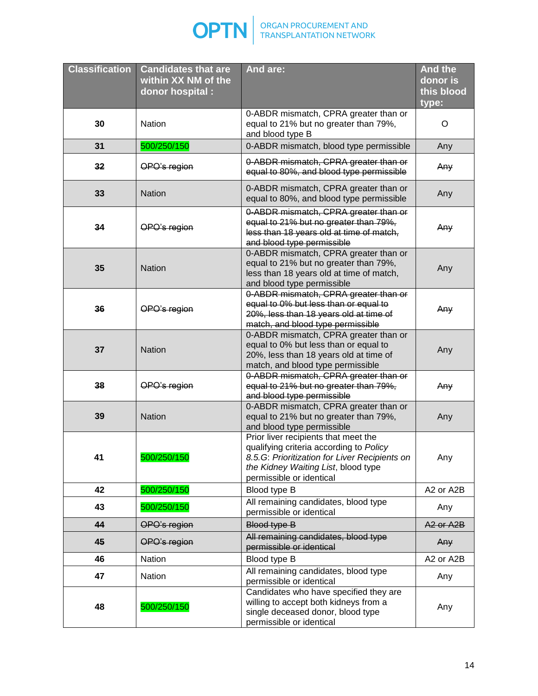

| <b>Classification</b> | <b>Candidates that are</b><br>within XX NM of the<br>donor hospital : | And are:                                                                                                                                                                                            | <b>And the</b><br>donor is<br>this blood |  |
|-----------------------|-----------------------------------------------------------------------|-----------------------------------------------------------------------------------------------------------------------------------------------------------------------------------------------------|------------------------------------------|--|
|                       |                                                                       |                                                                                                                                                                                                     | type:                                    |  |
| 30                    | Nation                                                                | 0-ABDR mismatch, CPRA greater than or<br>equal to 21% but no greater than 79%,<br>and blood type B                                                                                                  | O                                        |  |
| 31                    | 500/250/150                                                           | 0-ABDR mismatch, blood type permissible                                                                                                                                                             | Any                                      |  |
| 32                    | OPO's region                                                          | 0-ABDR mismatch, CPRA greater than or<br>equal to 80%, and blood type permissible                                                                                                                   | Any                                      |  |
| 33                    | <b>Nation</b>                                                         | 0-ABDR mismatch, CPRA greater than or<br>equal to 80%, and blood type permissible                                                                                                                   | Any                                      |  |
| 34                    | OPO's region                                                          | 0-ABDR mismatch, CPRA greater than or<br>equal to 21% but no greater than 79%,<br>less than 18 years old at time of match,<br>and blood type permissible                                            | Any                                      |  |
| 35                    | <b>Nation</b>                                                         | 0-ABDR mismatch, CPRA greater than or<br>equal to 21% but no greater than 79%,<br>less than 18 years old at time of match,<br>and blood type permissible                                            | Any                                      |  |
| 36                    | OPO's region                                                          | 0-ABDR mismatch, CPRA greater than or<br>equal to 0% but less than or equal to<br>20%, less than 18 years old at time of<br>match, and blood type permissible                                       | Any                                      |  |
| 37                    | <b>Nation</b>                                                         | 0-ABDR mismatch, CPRA greater than or<br>equal to 0% but less than or equal to<br>20%, less than 18 years old at time of<br>match, and blood type permissible                                       | Any                                      |  |
| 38                    | OPO's region                                                          | 0-ABDR mismatch, CPRA greater than or<br>equal to 21% but no greater than 79%,<br>and blood type permissible                                                                                        |                                          |  |
| 39                    | <b>Nation</b>                                                         | 0-ABDR mismatch, CPRA greater than or<br>equal to 21% but no greater than 79%,<br>and blood type permissible                                                                                        |                                          |  |
| 41                    | 500/250/150                                                           | Prior liver recipients that meet the<br>qualifying criteria according to Policy<br>8.5.G: Prioritization for Liver Recipients on<br>the Kidney Waiting List, blood type<br>permissible or identical | Any                                      |  |
| 42                    | 500/250/150                                                           | Blood type B                                                                                                                                                                                        | A2 or A2B                                |  |
| 43                    | 500/250/150                                                           | All remaining candidates, blood type<br>permissible or identical                                                                                                                                    | Any                                      |  |
| 44                    | OPO's region                                                          | Blood type B                                                                                                                                                                                        | A <sub>2</sub> or A <sub>2</sub> B       |  |
| 45                    | OPO's region                                                          | All remaining candidates, blood type<br>permissible or identical                                                                                                                                    | Any                                      |  |
| 46                    | Nation                                                                | Blood type B                                                                                                                                                                                        | A2 or A2B                                |  |
| 47                    | Nation                                                                | All remaining candidates, blood type<br>permissible or identical                                                                                                                                    | Any                                      |  |
| 48                    | 500/250/150                                                           | Candidates who have specified they are<br>willing to accept both kidneys from a<br>single deceased donor, blood type<br>permissible or identical                                                    |                                          |  |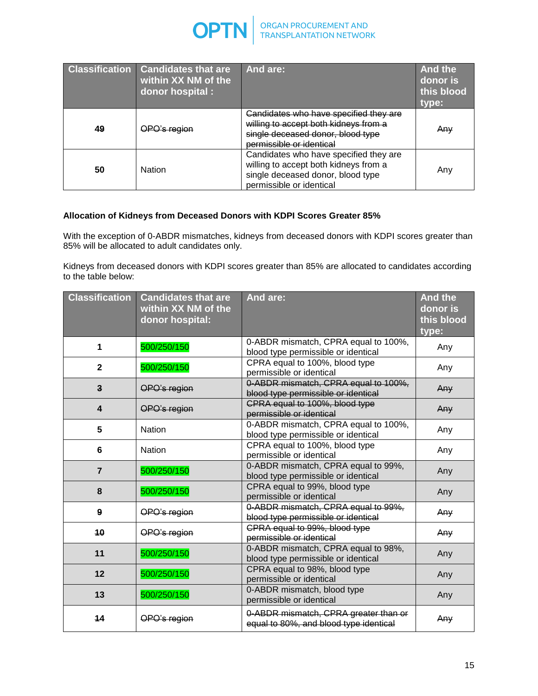

| <b>Classification</b> | Candidates that are<br>within XX NM of the<br>donor hospital : | And are:                                                                                                                                         | <b>And the</b><br>donor is<br>this blood<br>type: |
|-----------------------|----------------------------------------------------------------|--------------------------------------------------------------------------------------------------------------------------------------------------|---------------------------------------------------|
| 49                    | <del>)PO's region</del>                                        | Candidates who have specified they are<br>willing to accept both kidneys from a<br>single deceased donor, blood type<br>permissible or identical | Anv                                               |
| 50                    | <b>Nation</b>                                                  | Candidates who have specified they are<br>willing to accept both kidneys from a<br>single deceased donor, blood type<br>permissible or identical | Any                                               |

# **Allocation of Kidneys from Deceased Donors with KDPI Scores Greater 85%**

With the exception of 0-ABDR mismatches, kidneys from deceased donors with KDPI scores greater than 85% will be allocated to adult candidates only.

Kidneys from deceased donors with KDPI scores greater than 85% are allocated to candidates according to the table below:

| <b>Classification</b>   | <b>Candidates that are</b><br>within XX NM of the<br>donor hospital: | And are:                                                                        | <b>And the</b><br>donor is<br>this blood<br>type: |
|-------------------------|----------------------------------------------------------------------|---------------------------------------------------------------------------------|---------------------------------------------------|
| 1                       | 500/250/150                                                          | 0-ABDR mismatch, CPRA equal to 100%,<br>blood type permissible or identical     | Any                                               |
| $\mathbf{2}$            | 500/250/150                                                          | CPRA equal to 100%, blood type<br>permissible or identical                      | Any                                               |
| $\mathbf{3}$            | OPO's region                                                         | 0-ABDR mismatch, CPRA equal to 100%,<br>blood type permissible or identical     | Any                                               |
| $\overline{\mathbf{4}}$ | OPO's region                                                         | CPRA equal to 100%, blood type<br>permissible or identical                      | Any                                               |
| 5                       | Nation                                                               | 0-ABDR mismatch, CPRA equal to 100%,<br>blood type permissible or identical     | Any                                               |
| 6                       | <b>Nation</b>                                                        | CPRA equal to 100%, blood type<br>permissible or identical                      | Any                                               |
| $\overline{7}$          | 500/250/150                                                          | 0-ABDR mismatch, CPRA equal to 99%,<br>blood type permissible or identical      | Any                                               |
| 8                       | 500/250/150                                                          | CPRA equal to 99%, blood type<br>permissible or identical                       | Any                                               |
| $\mathbf{9}$            | OPO's region                                                         | 0-ABDR mismatch, CPRA equal to 99%,<br>blood type permissible or identical      | Any                                               |
| 40                      | OPO's region                                                         | CPRA equal to 99%, blood type<br>permissible or identical                       | Any                                               |
| 11                      | 500/250/150                                                          | 0-ABDR mismatch, CPRA equal to 98%,<br>blood type permissible or identical      | Any                                               |
| 12                      | 500/250/150                                                          | CPRA equal to 98%, blood type<br>permissible or identical                       | Any                                               |
| 13                      | 500/250/150                                                          | 0-ABDR mismatch, blood type<br>permissible or identical                         | Any                                               |
| 14                      | OPO's region                                                         | 0-ABDR mismatch, CPRA greater than or<br>equal to 80%, and blood type identical | Any                                               |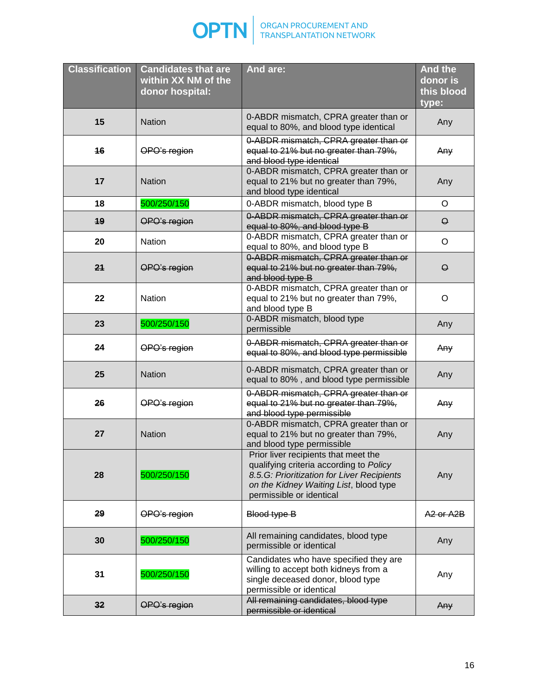

| <b>Classification</b> | <b>Candidates that are</b><br>within XX NM of the<br>donor hospital: | And are:                                                                                                                                                                                            | <b>And the</b><br>donor is<br>this blood<br>type: |
|-----------------------|----------------------------------------------------------------------|-----------------------------------------------------------------------------------------------------------------------------------------------------------------------------------------------------|---------------------------------------------------|
| 15                    | <b>Nation</b>                                                        | 0-ABDR mismatch, CPRA greater than or<br>equal to 80%, and blood type identical                                                                                                                     | Any                                               |
| 16                    | OPO's region                                                         | 0-ABDR mismatch, CPRA greater than or<br>equal to 21% but no greater than 79%,<br>and blood type identical                                                                                          | Any                                               |
| 17                    | <b>Nation</b>                                                        | 0-ABDR mismatch, CPRA greater than or<br>equal to 21% but no greater than 79%,<br>and blood type identical                                                                                          | Any                                               |
| 18                    | 500/250/150                                                          | 0-ABDR mismatch, blood type B                                                                                                                                                                       | $\circ$                                           |
| 19                    | OPO's region                                                         | 0-ABDR mismatch, CPRA greater than or<br>equal to 80%, and blood type B                                                                                                                             | $\Theta$                                          |
| 20                    | <b>Nation</b>                                                        | 0-ABDR mismatch, CPRA greater than or<br>equal to 80%, and blood type B                                                                                                                             | $\circ$                                           |
| 21                    | OPO's region                                                         | 0-ABDR mismatch, CPRA greater than or<br>equal to 21% but no greater than 79%,<br>and blood type B                                                                                                  | $\Theta$                                          |
| 22                    | <b>Nation</b>                                                        | 0-ABDR mismatch, CPRA greater than or<br>equal to 21% but no greater than 79%,<br>and blood type B                                                                                                  | O                                                 |
| 23                    | 500/250/150                                                          | 0-ABDR mismatch, blood type<br>permissible                                                                                                                                                          | Any                                               |
| 24                    | OPO's region                                                         | 0-ABDR mismatch, CPRA greater than or<br>equal to 80%, and blood type permissible                                                                                                                   | Any                                               |
| 25                    | <b>Nation</b>                                                        | 0-ABDR mismatch, CPRA greater than or<br>equal to 80%, and blood type permissible                                                                                                                   | Any                                               |
| 26                    | OPO's region                                                         | 0-ABDR mismatch, CPRA greater than or<br>equal to 21% but no greater than 79%,<br>and blood type permissible                                                                                        | Any                                               |
| 27                    | <b>Nation</b>                                                        | 0-ABDR mismatch, CPRA greater than or<br>equal to 21% but no greater than 79%,<br>and blood type permissible                                                                                        | Any                                               |
| 28                    | 500/250/150                                                          | Prior liver recipients that meet the<br>qualifying criteria according to Policy<br>8.5.G: Prioritization for Liver Recipients<br>on the Kidney Waiting List, blood type<br>permissible or identical | Any                                               |
| 29                    | OPO's region                                                         | Blood type B                                                                                                                                                                                        | A <sub>2</sub> or A <sub>2</sub> B                |
| 30                    | 500/250/150                                                          | All remaining candidates, blood type<br>permissible or identical                                                                                                                                    | Any                                               |
| 31                    | 500/250/150                                                          | Candidates who have specified they are<br>willing to accept both kidneys from a<br>single deceased donor, blood type<br>permissible or identical                                                    | Any                                               |
| 32                    | OPO's region                                                         | All remaining candidates, blood type<br>permissible or identical                                                                                                                                    | Any                                               |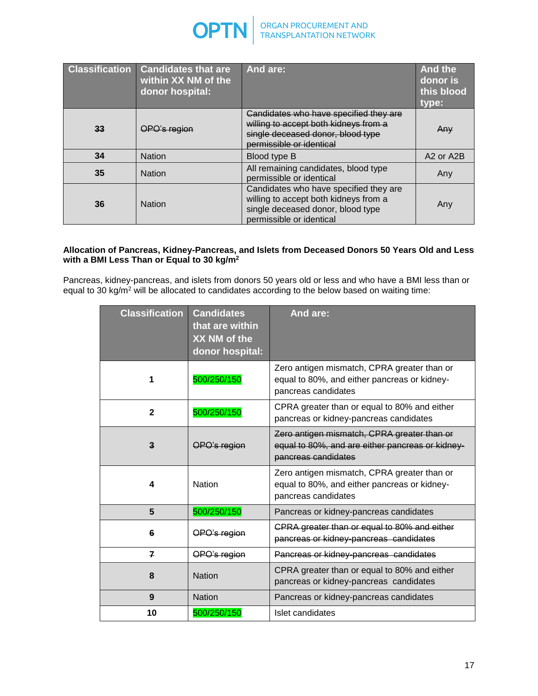

| <b>Classification</b> | <b>Candidates that are</b><br>within XX NM of the<br>donor hospital: | And are:                                                                                                                                         | <b>And the</b><br>donor is<br>this blood<br>type: |
|-----------------------|----------------------------------------------------------------------|--------------------------------------------------------------------------------------------------------------------------------------------------|---------------------------------------------------|
| 33                    | PO's region                                                          | Candidates who have specified they are<br>willing to accept both kidneys from a<br>single deceased donor, blood type<br>permissible or identical | Any                                               |
| 34                    | <b>Nation</b>                                                        | Blood type B                                                                                                                                     | A <sub>2</sub> or A <sub>2</sub> B                |
| 35                    | <b>Nation</b>                                                        | All remaining candidates, blood type<br>permissible or identical                                                                                 | Any                                               |
| 36                    | <b>Nation</b>                                                        | Candidates who have specified they are<br>willing to accept both kidneys from a<br>single deceased donor, blood type<br>permissible or identical | Any                                               |

#### **Allocation of Pancreas, Kidney-Pancreas, and Islets from Deceased Donors 50 Years Old and Less with a BMI Less Than or Equal to 30 kg/m<sup>2</sup>**

Pancreas, kidney-pancreas, and islets from donors 50 years old or less and who have a BMI less than or equal to 30 kg/m<sup>2</sup> will be allocated to candidates according to the below based on waiting time:

| <b>Classification</b> | <b>Candidates</b><br>that are within<br>XX NM of the<br>donor hospital: | And are:                                                                                                               |  |  |
|-----------------------|-------------------------------------------------------------------------|------------------------------------------------------------------------------------------------------------------------|--|--|
| 1                     | 500/250/150                                                             | Zero antigen mismatch, CPRA greater than or<br>equal to 80%, and either pancreas or kidney-<br>pancreas candidates     |  |  |
| $\overline{2}$        | 500/250/150                                                             | CPRA greater than or equal to 80% and either<br>pancreas or kidney-pancreas candidates                                 |  |  |
| $\mathbf{3}$          | OPO's region                                                            | Zero antigen mismatch, CPRA greater than or<br>equal to 80%, and are either pancreas or kidney-<br>pancreas candidates |  |  |
| 4                     | <b>Nation</b>                                                           | Zero antigen mismatch, CPRA greater than or<br>equal to 80%, and either pancreas or kidney-<br>pancreas candidates     |  |  |
| 5                     | 500/250/150                                                             | Pancreas or kidney-pancreas candidates                                                                                 |  |  |
| 6                     | OPO's region                                                            | CPRA greater than or equal to 80% and either<br>pancreas or kidney-pancreas candidates                                 |  |  |
| $\overline{ }$        | OPO's region                                                            | Pancreas or kidney-pancreas candidates                                                                                 |  |  |
| 8                     | <b>Nation</b>                                                           | CPRA greater than or equal to 80% and either<br>pancreas or kidney-pancreas candidates                                 |  |  |
| 9                     | <b>Nation</b>                                                           | Pancreas or kidney-pancreas candidates                                                                                 |  |  |
| 10                    | 500/250/150                                                             | Islet candidates                                                                                                       |  |  |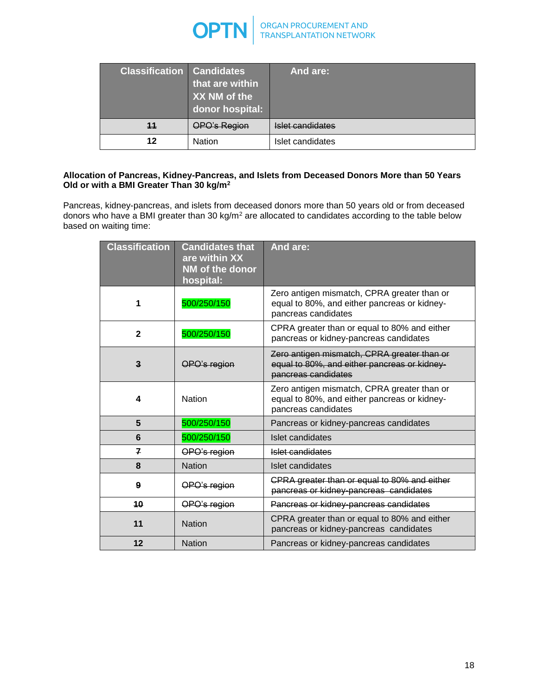

| <b>Classification Candidates</b> | that are within<br>XX NM of the<br>donor hospital: | And are:                |
|----------------------------------|----------------------------------------------------|-------------------------|
| 11                               | OPO's Region                                       | <b>Islet candidates</b> |
| 12                               | Nation                                             | Islet candidates        |

## **Allocation of Pancreas, Kidney-Pancreas, and Islets from Deceased Donors More than 50 Years Old or with a BMI Greater Than 30 kg/m<sup>2</sup>**

Pancreas, kidney-pancreas, and islets from deceased donors more than 50 years old or from deceased donors who have a BMI greater than 30 kg/m<sup>2</sup> are allocated to candidates according to the table below based on waiting time:

| <b>Classification</b> | <b>Candidates that</b><br>are within XX<br>NM of the donor<br>hospital: | And are:                                                                                                           |  |  |
|-----------------------|-------------------------------------------------------------------------|--------------------------------------------------------------------------------------------------------------------|--|--|
| 1                     | 500/250/150                                                             | Zero antigen mismatch, CPRA greater than or<br>equal to 80%, and either pancreas or kidney-<br>pancreas candidates |  |  |
| $\mathbf{2}$          | 500/250/150                                                             | CPRA greater than or equal to 80% and either<br>pancreas or kidney-pancreas candidates                             |  |  |
| $\mathbf{3}$          | OPO's region                                                            | Zero antigen mismatch, CPRA greater than or<br>equal to 80%, and either pancreas or kidney-<br>pancreas candidates |  |  |
| 4                     | <b>Nation</b>                                                           | Zero antigen mismatch, CPRA greater than or<br>equal to 80%, and either pancreas or kidney-<br>pancreas candidates |  |  |
| 5                     | 500/250/150                                                             | Pancreas or kidney-pancreas candidates                                                                             |  |  |
| 6                     | 500/250/150                                                             | Islet candidates                                                                                                   |  |  |
| z                     | OPO's region                                                            | Islet candidates                                                                                                   |  |  |
| 8                     | <b>Nation</b>                                                           | Islet candidates                                                                                                   |  |  |
| 9                     | OPO's region                                                            | CPRA greater than or equal to 80% and either<br>pancreas or kidney-pancreas candidates                             |  |  |
| 10                    | OPO's region                                                            | Pancreas or kidney-pancreas candidates                                                                             |  |  |
| 11                    | <b>Nation</b>                                                           | CPRA greater than or equal to 80% and either<br>pancreas or kidney-pancreas candidates                             |  |  |
| 12                    | <b>Nation</b>                                                           | Pancreas or kidney-pancreas candidates                                                                             |  |  |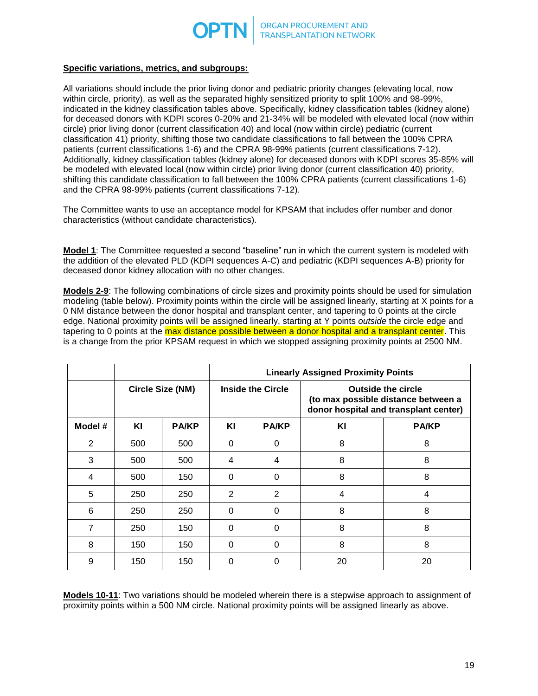

### **Specific variations, metrics, and subgroups:**

All variations should include the prior living donor and pediatric priority changes (elevating local, now within circle, priority), as well as the separated highly sensitized priority to split 100% and 98-99%, indicated in the kidney classification tables above. Specifically, kidney classification tables (kidney alone) for deceased donors with KDPI scores 0-20% and 21-34% will be modeled with elevated local (now within circle) prior living donor (current classification 40) and local (now within circle) pediatric (current classification 41) priority, shifting those two candidate classifications to fall between the 100% CPRA patients (current classifications 1-6) and the CPRA 98-99% patients (current classifications 7-12). Additionally, kidney classification tables (kidney alone) for deceased donors with KDPI scores 35-85% will be modeled with elevated local (now within circle) prior living donor (current classification 40) priority, shifting this candidate classification to fall between the 100% CPRA patients (current classifications 1-6) and the CPRA 98-99% patients (current classifications 7-12).

The Committee wants to use an acceptance model for KPSAM that includes offer number and donor characteristics (without candidate characteristics).

**Model 1**: The Committee requested a second "baseline" run in which the current system is modeled with the addition of the elevated PLD (KDPI sequences A-C) and pediatric (KDPI sequences A-B) priority for deceased donor kidney allocation with no other changes.

**Models 2-9**: The following combinations of circle sizes and proximity points should be used for simulation modeling (table below). Proximity points within the circle will be assigned linearly, starting at X points for a 0 NM distance between the donor hospital and transplant center, and tapering to 0 points at the circle edge. National proximity points will be assigned linearly, starting at Y points *outside* the circle edge and tapering to 0 points at the max distance possible between a donor hospital and a transplant center. This is a change from the prior KPSAM request in which we stopped assigning proximity points at 2500 NM.

|                |                  |              | <b>Linearly Assigned Proximity Points</b> |              |                                                                                                           |              |
|----------------|------------------|--------------|-------------------------------------------|--------------|-----------------------------------------------------------------------------------------------------------|--------------|
|                | Circle Size (NM) |              | <b>Inside the Circle</b>                  |              | <b>Outside the circle</b><br>(to max possible distance between a<br>donor hospital and transplant center) |              |
| Model #        | ΚI               | <b>PA/KP</b> | ΚI                                        | <b>PA/KP</b> | KI                                                                                                        | <b>PA/KP</b> |
| $\overline{2}$ | 500              | 500          | 0                                         | 0            | 8                                                                                                         | 8            |
| 3              | 500              | 500          | 4                                         | 4            | 8                                                                                                         | 8            |
| 4              | 500              | 150          | 0                                         | $\Omega$     | 8                                                                                                         | 8            |
| 5              | 250              | 250          | $\overline{2}$                            | 2            | 4                                                                                                         | 4            |
| 6              | 250              | 250          | 0                                         | 0            | 8                                                                                                         | 8            |
| $\overline{7}$ | 250              | 150          | 0                                         | 0            | 8                                                                                                         | 8            |
| 8              | 150              | 150          | $\Omega$                                  | 0            | 8                                                                                                         | 8            |
| 9              | 150              | 150          | 0                                         | $\Omega$     | 20                                                                                                        | 20           |

**Models 10-11**: Two variations should be modeled wherein there is a stepwise approach to assignment of proximity points within a 500 NM circle. National proximity points will be assigned linearly as above.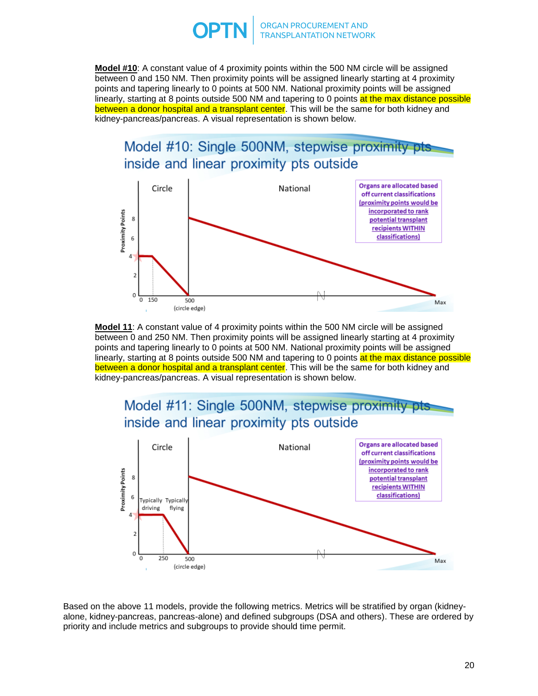

**Model #10**: A constant value of 4 proximity points within the 500 NM circle will be assigned between 0 and 150 NM. Then proximity points will be assigned linearly starting at 4 proximity points and tapering linearly to 0 points at 500 NM. National proximity points will be assigned linearly, starting at 8 points outside 500 NM and tapering to 0 points at the max distance possible between a donor hospital and a transplant center. This will be the same for both kidney and kidney-pancreas/pancreas. A visual representation is shown below.



**Model 11**: A constant value of 4 proximity points within the 500 NM circle will be assigned between 0 and 250 NM. Then proximity points will be assigned linearly starting at 4 proximity points and tapering linearly to 0 points at 500 NM. National proximity points will be assigned linearly, starting at 8 points outside 500 NM and tapering to 0 points at the max distance possible between a donor hospital and a transplant center. This will be the same for both kidney and kidney-pancreas/pancreas. A visual representation is shown below.



Based on the above 11 models, provide the following metrics. Metrics will be stratified by organ (kidneyalone, kidney-pancreas, pancreas-alone) and defined subgroups (DSA and others). These are ordered by priority and include metrics and subgroups to provide should time permit.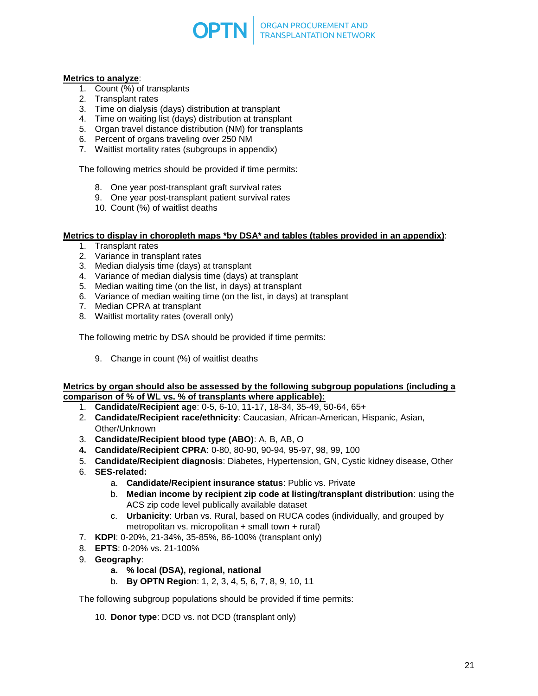

### **Metrics to analyze**:

- 1. Count  $\overline{(*)}$  of transplants
- 2. Transplant rates
- 3. Time on dialysis (days) distribution at transplant
- 4. Time on waiting list (days) distribution at transplant
- 5. Organ travel distance distribution (NM) for transplants
- 6. Percent of organs traveling over 250 NM
- 7. Waitlist mortality rates (subgroups in appendix)

The following metrics should be provided if time permits:

- 8. One year post-transplant graft survival rates
- 9. One year post-transplant patient survival rates
- 10. Count (%) of waitlist deaths

#### **Metrics to display in choropleth maps \*by DSA\* and tables (tables provided in an appendix)**:

- 1. Transplant rates
- 2. Variance in transplant rates
- 3. Median dialysis time (days) at transplant
- 4. Variance of median dialysis time (days) at transplant
- 5. Median waiting time (on the list, in days) at transplant
- 6. Variance of median waiting time (on the list, in days) at transplant
- 7. Median CPRA at transplant
- 8. Waitlist mortality rates (overall only)

The following metric by DSA should be provided if time permits:

9. Change in count (%) of waitlist deaths

#### **Metrics by organ should also be assessed by the following subgroup populations (including a comparison of % of WL vs. % of transplants where applicable):**

- 1. **Candidate/Recipient age**: 0-5, 6-10, 11-17, 18-34, 35-49, 50-64, 65+
- 2. **Candidate/Recipient race/ethnicity**: Caucasian, African-American, Hispanic, Asian, Other/Unknown
- 3. **Candidate/Recipient blood type (ABO)**: A, B, AB, O
- **4. Candidate/Recipient CPRA**: 0-80, 80-90, 90-94, 95-97, 98, 99, 100
- 5. **Candidate/Recipient diagnosis**: Diabetes, Hypertension, GN, Cystic kidney disease, Other
- 6. **SES-related:**
	- a. **Candidate/Recipient insurance status**: Public vs. Private
	- b. **Median income by recipient zip code at listing/transplant distribution**: using the ACS zip code level publically available dataset
	- c. **Urbanicity**: Urban vs. Rural, based on RUCA codes (individually, and grouped by metropolitan vs. micropolitan + small town + rural)
- 7. **KDPI**: 0-20%, 21-34%, 35-85%, 86-100% (transplant only)
- 8. **EPTS**: 0-20% vs. 21-100%
- 9. **Geography**:
	- **a. % local (DSA), regional, national**
	- b. **By OPTN Region**: 1, 2, 3, 4, 5, 6, 7, 8, 9, 10, 11

The following subgroup populations should be provided if time permits:

10. **Donor type**: DCD vs. not DCD (transplant only)